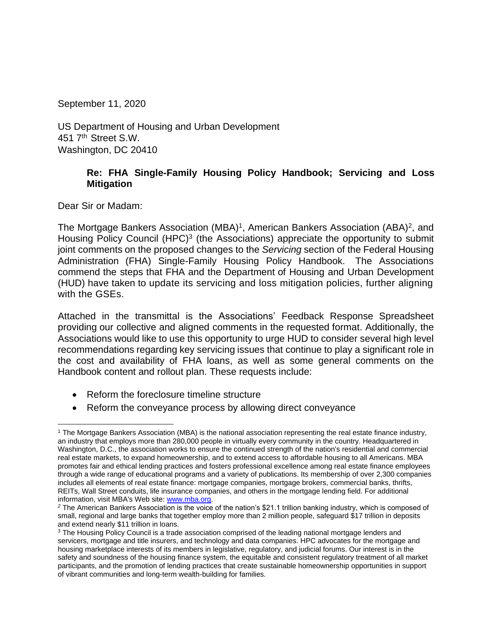September 11, 2020

US Department of Housing and Urban Development 451 7<sup>th</sup> Street S.W. Washington, DC 20410

### **Re: FHA Single-Family Housing Policy Handbook; Servicing and Loss Mitigation**

Dear Sir or Madam:

The Mortgage Bankers Association (MBA)<sup>1</sup>, American Bankers Association (ABA)<sup>2</sup>, and Housing Policy Council (HPC)<sup>3</sup> (the Associations) appreciate the opportunity to submit joint comments on the proposed changes to the *Servicing* section of the Federal Housing Administration (FHA) Single-Family Housing Policy Handbook. The Associations commend the steps that FHA and the Department of Housing and Urban Development (HUD) have taken to update its servicing and loss mitigation policies, further aligning with the GSEs.

Attached in the transmittal is the Associations' Feedback Response Spreadsheet providing our collective and aligned comments in the requested format. Additionally, the Associations would like to use this opportunity to urge HUD to consider several high level recommendations regarding key servicing issues that continue to play a significant role in the cost and availability of FHA loans, as well as some general comments on the Handbook content and rollout plan. These requests include:

- Reform the foreclosure timeline structure
- Reform the conveyance process by allowing direct conveyance

<sup>1</sup> The Mortgage Bankers Association (MBA) is the national association representing the real estate finance industry, an industry that employs more than 280,000 people in virtually every community in the country. Headquartered in Washington, D.C., the association works to ensure the continued strength of the nation's residential and commercial real estate markets, to expand homeownership, and to extend access to affordable housing to all Americans. MBA promotes fair and ethical lending practices and fosters professional excellence among real estate finance employees through a wide range of educational programs and a variety of publications. Its membership of over 2,300 companies includes all elements of real estate finance: mortgage companies, mortgage brokers, commercial banks, thrifts, REITs, Wall Street conduits, life insurance companies, and others in the mortgage lending field. For additional information, visit MBA's Web site: [www.mba.org.](http://www.mba.org/)

*<sup>2</sup>* The American Bankers Association is the voice of the nation's \$21.1 trillion banking industry, which is composed of small, regional and large banks that together employ more than 2 million people, safeguard \$17 trillion in deposits and extend nearly \$11 trillion in loans.

<sup>&</sup>lt;sup>3</sup> The Housing Policy Council is a trade association comprised of the leading national mortgage lenders and servicers, mortgage and title insurers, and technology and data companies. HPC advocates for the mortgage and housing marketplace interests of its members in legislative, regulatory, and judicial forums. Our interest is in the safety and soundness of the housing finance system, the equitable and consistent regulatory treatment of all market participants, and the promotion of lending practices that create sustainable homeownership opportunities in support of vibrant communities and long-term wealth-building for families.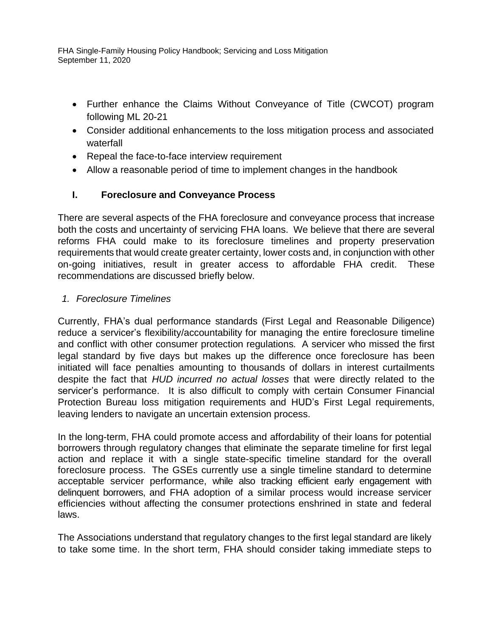- Further enhance the Claims Without Conveyance of Title (CWCOT) program following ML 20-21
- Consider additional enhancements to the loss mitigation process and associated waterfall
- Repeal the face-to-face interview requirement
- Allow a reasonable period of time to implement changes in the handbook

# **I. Foreclosure and Conveyance Process**

There are several aspects of the FHA foreclosure and conveyance process that increase both the costs and uncertainty of servicing FHA loans. We believe that there are several reforms FHA could make to its foreclosure timelines and property preservation requirements that would create greater certainty, lower costs and, in conjunction with other on-going initiatives, result in greater access to affordable FHA credit. These recommendations are discussed briefly below.

# *1. Foreclosure Timelines*

Currently, FHA's dual performance standards (First Legal and Reasonable Diligence) reduce a servicer's flexibility/accountability for managing the entire foreclosure timeline and conflict with other consumer protection regulations*.* A servicer who missed the first legal standard by five days but makes up the difference once foreclosure has been initiated will face penalties amounting to thousands of dollars in interest curtailments despite the fact that *HUD incurred no actual losses* that were directly related to the servicer's performance. It is also difficult to comply with certain Consumer Financial Protection Bureau loss mitigation requirements and HUD's First Legal requirements, leaving lenders to navigate an uncertain extension process.

In the long-term, FHA could promote access and affordability of their loans for potential borrowers through regulatory changes that eliminate the separate timeline for first legal action and replace it with a single state-specific timeline standard for the overall foreclosure process. The GSEs currently use a single timeline standard to determine acceptable servicer performance, while also tracking efficient early engagement with delinquent borrowers, and FHA adoption of a similar process would increase servicer efficiencies without affecting the consumer protections enshrined in state and federal laws.

The Associations understand that regulatory changes to the first legal standard are likely to take some time. In the short term, FHA should consider taking immediate steps to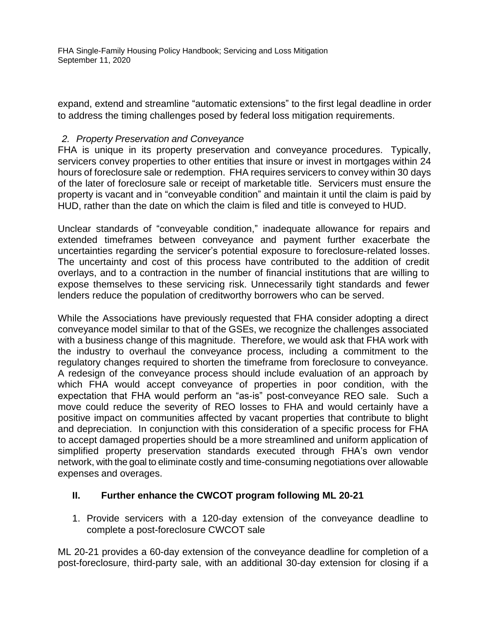expand, extend and streamline "automatic extensions" to the first legal deadline in order to address the timing challenges posed by federal loss mitigation requirements.

### *2. Property Preservation and Conveyance*

FHA is unique in its property preservation and conveyance procedures. Typically, servicers convey properties to other entities that insure or invest in mortgages within 24 hours of foreclosure sale or redemption. FHA requires servicers to convey within 30 days of the later of foreclosure sale or receipt of marketable title. Servicers must ensure the property is vacant and in "conveyable condition" and maintain it until the claim is paid by HUD, rather than the date on which the claim is filed and title is conveyed to HUD.

Unclear standards of "conveyable condition," inadequate allowance for repairs and extended timeframes between conveyance and payment further exacerbate the uncertainties regarding the servicer's potential exposure to foreclosure-related losses. The uncertainty and cost of this process have contributed to the addition of credit overlays, and to a contraction in the number of financial institutions that are willing to expose themselves to these servicing risk. Unnecessarily tight standards and fewer lenders reduce the population of creditworthy borrowers who can be served.

While the Associations have previously requested that FHA consider adopting a direct conveyance model similar to that of the GSEs, we recognize the challenges associated with a business change of this magnitude. Therefore, we would ask that FHA work with the industry to overhaul the conveyance process, including a commitment to the regulatory changes required to shorten the timeframe from foreclosure to conveyance. A redesign of the conveyance process should include evaluation of an approach by which FHA would accept conveyance of properties in poor condition, with the expectation that FHA would perform an "as-is" post-conveyance REO sale. Such a move could reduce the severity of REO losses to FHA and would certainly have a positive impact on communities affected by vacant properties that contribute to blight and depreciation. In conjunction with this consideration of a specific process for FHA to accept damaged properties should be a more streamlined and uniform application of simplified property preservation standards executed through FHA's own vendor network, with the goal to eliminate costly and time-consuming negotiations over allowable expenses and overages.

#### **II. Further enhance the CWCOT program following ML 20-21**

1. Provide servicers with a 120-day extension of the conveyance deadline to complete a post-foreclosure CWCOT sale

ML 20-21 provides a 60-day extension of the conveyance deadline for completion of a post-foreclosure, third-party sale, with an additional 30-day extension for closing if a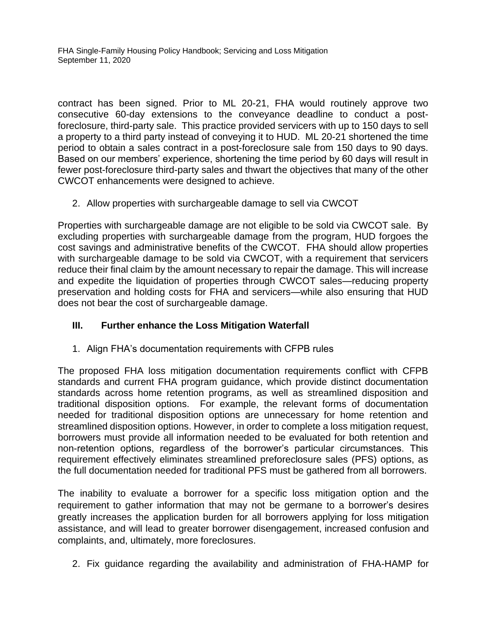contract has been signed. Prior to ML 20-21, FHA would routinely approve two consecutive 60-day extensions to the conveyance deadline to conduct a postforeclosure, third-party sale. This practice provided servicers with up to 150 days to sell a property to a third party instead of conveying it to HUD. ML 20-21 shortened the time period to obtain a sales contract in a post-foreclosure sale from 150 days to 90 days. Based on our members' experience, shortening the time period by 60 days will result in fewer post-foreclosure third-party sales and thwart the objectives that many of the other CWCOT enhancements were designed to achieve.

2. Allow properties with surchargeable damage to sell via CWCOT

Properties with surchargeable damage are not eligible to be sold via CWCOT sale. By excluding properties with surchargeable damage from the program, HUD forgoes the cost savings and administrative benefits of the CWCOT. FHA should allow properties with surchargeable damage to be sold via CWCOT, with a requirement that servicers reduce their final claim by the amount necessary to repair the damage. This will increase and expedite the liquidation of properties through CWCOT sales—reducing property preservation and holding costs for FHA and servicers—while also ensuring that HUD does not bear the cost of surchargeable damage.

#### **III. Further enhance the Loss Mitigation Waterfall**

1. Align FHA's documentation requirements with CFPB rules

The proposed FHA loss mitigation documentation requirements conflict with CFPB standards and current FHA program guidance, which provide distinct documentation standards across home retention programs, as well as streamlined disposition and traditional disposition options. For example, the relevant forms of documentation needed for traditional disposition options are unnecessary for home retention and streamlined disposition options. However, in order to complete a loss mitigation request, borrowers must provide all information needed to be evaluated for both retention and non-retention options, regardless of the borrower's particular circumstances. This requirement effectively eliminates streamlined preforeclosure sales (PFS) options, as the full documentation needed for traditional PFS must be gathered from all borrowers.

The inability to evaluate a borrower for a specific loss mitigation option and the requirement to gather information that may not be germane to a borrower's desires greatly increases the application burden for all borrowers applying for loss mitigation assistance, and will lead to greater borrower disengagement, increased confusion and complaints, and, ultimately, more foreclosures.

2. Fix guidance regarding the availability and administration of FHA-HAMP for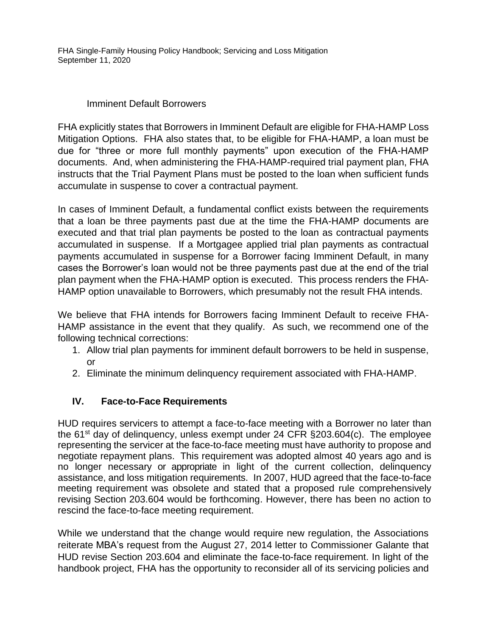#### Imminent Default Borrowers

FHA explicitly states that Borrowers in Imminent Default are eligible for FHA-HAMP Loss Mitigation Options. FHA also states that, to be eligible for FHA-HAMP, a loan must be due for "three or more full monthly payments" upon execution of the FHA-HAMP documents. And, when administering the FHA-HAMP-required trial payment plan, FHA instructs that the Trial Payment Plans must be posted to the loan when sufficient funds accumulate in suspense to cover a contractual payment.

In cases of Imminent Default, a fundamental conflict exists between the requirements that a loan be three payments past due at the time the FHA-HAMP documents are executed and that trial plan payments be posted to the loan as contractual payments accumulated in suspense. If a Mortgagee applied trial plan payments as contractual payments accumulated in suspense for a Borrower facing Imminent Default, in many cases the Borrower's loan would not be three payments past due at the end of the trial plan payment when the FHA-HAMP option is executed. This process renders the FHA-HAMP option unavailable to Borrowers, which presumably not the result FHA intends.

We believe that FHA intends for Borrowers facing Imminent Default to receive FHA-HAMP assistance in the event that they qualify. As such, we recommend one of the following technical corrections:

- 1. Allow trial plan payments for imminent default borrowers to be held in suspense, or
- 2. Eliminate the minimum delinquency requirement associated with FHA-HAMP.

# **IV. Face-to-Face Requirements**

HUD requires servicers to attempt a face-to-face meeting with a Borrower no later than the  $61<sup>st</sup>$  day of delinguency, unless exempt under 24 CFR  $\S$ 203.604(c). The employee representing the servicer at the face-to-face meeting must have authority to propose and negotiate repayment plans. This requirement was adopted almost 40 years ago and is no longer necessary or appropriate in light of the current collection, delinquency assistance, and loss mitigation requirements. In 2007, HUD agreed that the face-to-face meeting requirement was obsolete and stated that a proposed rule comprehensively revising Section 203.604 would be forthcoming. However, there has been no action to rescind the face-to-face meeting requirement.

While we understand that the change would require new regulation, the Associations reiterate MBA's request from the August 27, 2014 letter to Commissioner Galante that HUD revise Section 203.604 and eliminate the face-to-face requirement. In light of the handbook project, FHA has the opportunity to reconsider all of its servicing policies and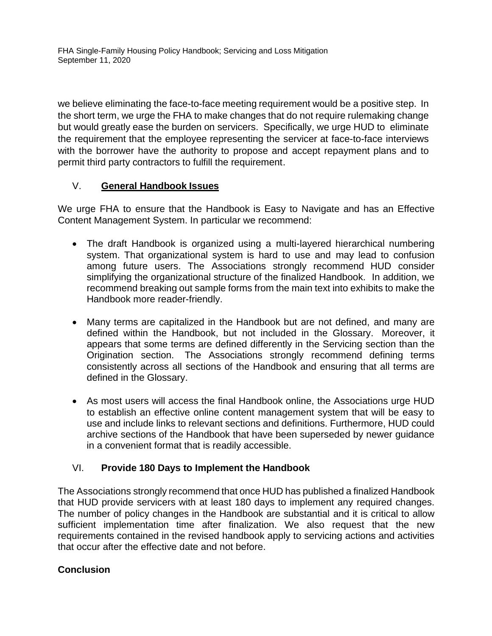we believe eliminating the face-to-face meeting requirement would be a positive step. In the short term, we urge the FHA to make changes that do not require rulemaking change but would greatly ease the burden on servicers. Specifically, we urge HUD to eliminate the requirement that the employee representing the servicer at face-to-face interviews with the borrower have the authority to propose and accept repayment plans and to permit third party contractors to fulfill the requirement.

#### V. **General Handbook Issues**

We urge FHA to ensure that the Handbook is Easy to Navigate and has an Effective Content Management System. In particular we recommend:

- The draft Handbook is organized using a multi-layered hierarchical numbering system. That organizational system is hard to use and may lead to confusion among future users. The Associations strongly recommend HUD consider simplifying the organizational structure of the finalized Handbook. In addition, we recommend breaking out sample forms from the main text into exhibits to make the Handbook more reader-friendly.
- Many terms are capitalized in the Handbook but are not defined, and many are defined within the Handbook, but not included in the Glossary. Moreover, it appears that some terms are defined differently in the Servicing section than the Origination section. The Associations strongly recommend defining terms consistently across all sections of the Handbook and ensuring that all terms are defined in the Glossary.
- As most users will access the final Handbook online, the Associations urge HUD to establish an effective online content management system that will be easy to use and include links to relevant sections and definitions. Furthermore, HUD could archive sections of the Handbook that have been superseded by newer guidance in a convenient format that is readily accessible.

#### VI. **Provide 180 Days to Implement the Handbook**

The Associations strongly recommend that once HUD has published a finalized Handbook that HUD provide servicers with at least 180 days to implement any required changes. The number of policy changes in the Handbook are substantial and it is critical to allow sufficient implementation time after finalization. We also request that the new requirements contained in the revised handbook apply to servicing actions and activities that occur after the effective date and not before.

#### **Conclusion**